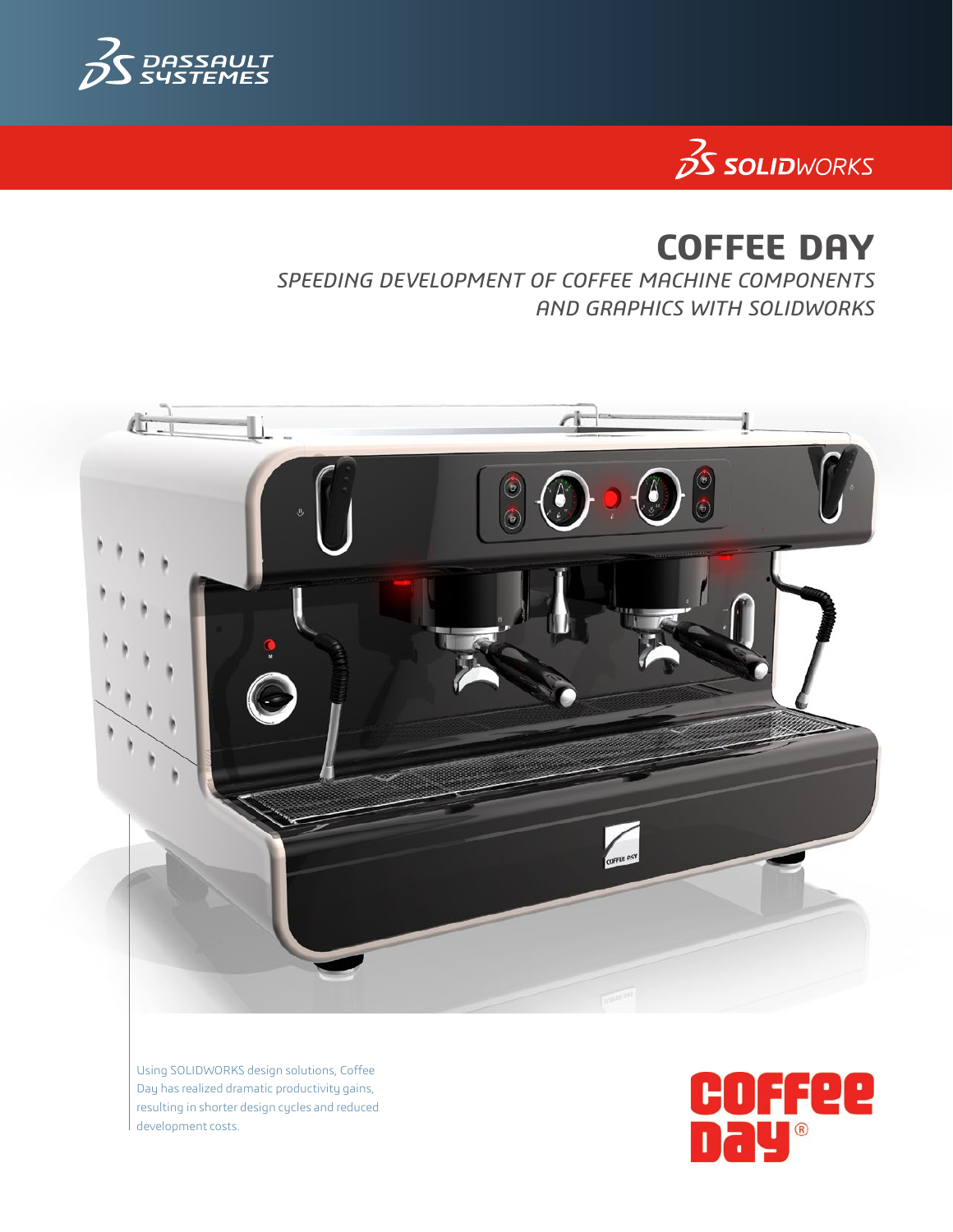



# **COFFEE DAY**

*SPEEDING DEVELOPMENT OF COFFEE MACHINE COMPONENTS AND GRAPHICS WITH SOLIDWORKS*



Using SOLIDWORKS design solutions, Coffee Day has realized dramatic productivity gains, resulting in shorter design cycles and reduced development costs.